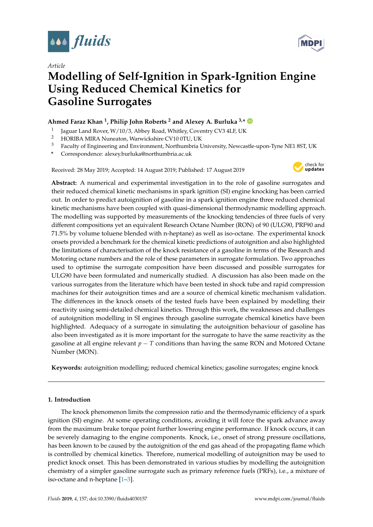

*Article*

# **Modelling of Self-Ignition in Spark-Ignition Engine Using Reduced Chemical Kinetics for Gasoline Surrogates**

## **Ahmed Faraz Khan <sup>1</sup> , Philip John Roberts <sup>2</sup> and Alexey A. Burluka 3,\***

- 1 Jaguar Land Rover, W/10/3, Abbey Road, Whitley, Coventry CV3 4LF, UK
- <sup>2</sup> HORIBA MIRA Nuneaton, Warwickshire CV10 0TU, UK
- <sup>3</sup> Faculty of Engineering and Environment, Northumbria University, Newcastle-upon-Tyne NE1 8ST, UK
- **\*** Correspondence: alexey.burluka@northumbria.ac.uk

Received: 28 May 2019; Accepted: 14 August 2019; Published: 17 August 2019



**Abstract:** A numerical and experimental investigation in to the role of gasoline surrogates and their reduced chemical kinetic mechanisms in spark ignition (SI) engine knocking has been carried out. In order to predict autoignition of gasoline in a spark ignition engine three reduced chemical kinetic mechanisms have been coupled with quasi-dimensional thermodynamic modelling approach. The modelling was supported by measurements of the knocking tendencies of three fuels of very different compositions yet an equivalent Research Octane Number (RON) of 90 (ULG90, PRF90 and 71.5% by volume toluene blended with n-heptane) as well as iso-octane. The experimental knock onsets provided a benchmark for the chemical kinetic predictions of autoignition and also highlighted the limitations of characterisation of the knock resistance of a gasoline in terms of the Research and Motoring octane numbers and the role of these parameters in surrogate formulation. Two approaches used to optimise the surrogate composition have been discussed and possible surrogates for ULG90 have been formulated and numerically studied. A discussion has also been made on the various surrogates from the literature which have been tested in shock tube and rapid compression machines for their autoignition times and are a source of chemical kinetic mechanism validation. The differences in the knock onsets of the tested fuels have been explained by modelling their reactivity using semi-detailed chemical kinetics. Through this work, the weaknesses and challenges of autoignition modelling in SI engines through gasoline surrogate chemical kinetics have been highlighted. Adequacy of a surrogate in simulating the autoignition behaviour of gasoline has also been investigated as it is more important for the surrogate to have the same reactivity as the gasoline at all engine relevant  $p - T$  conditions than having the same RON and Motored Octane Number (MON).

**Keywords:** autoignition modelling; reduced chemical kinetics; gasoline surrogates; engine knock

## **1. Introduction**

The knock phenomenon limits the compression ratio and the thermodynamic efficiency of a spark ignition (SI) engine. At some operating conditions, avoiding it will force the spark advance away from the maximum brake torque point further lowering engine performance. If knock occurs, it can be severely damaging to the engine components. Knock, i.e., onset of strong pressure oscillations, has been known to be caused by the autoignition of the end gas ahead of the propagating flame which is controlled by chemical kinetics. Therefore, numerical modelling of autoignition may be used to predict knock onset. This has been demonstrated in various studies by modelling the autoignition chemistry of a simpler gasoline surrogate such as primary reference fuels (PRFs), i.e., a mixture of iso-octane and n-heptane [\[1](#page-10-0)[–3\]](#page-10-1).

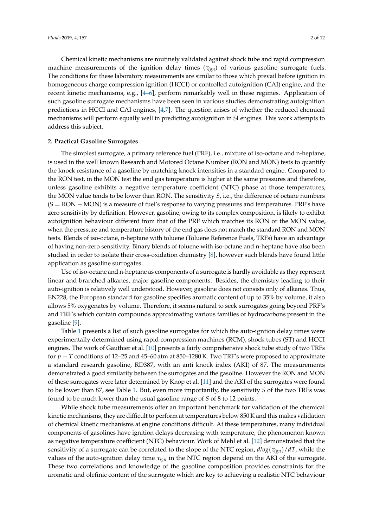Chemical kinetic mechanisms are routinely validated against shock tube and rapid compression machine measurements of the ignition delay times (*τign*) of various gasoline surrogate fuels. The conditions for these laboratory measurements are similar to those which prevail before ignition in homogeneous charge compression ignition (HCCI) or controlled autoignition (CAI) engine, and the recent kinetic mechanisms, e.g., [\[4–](#page-10-2)[6\]](#page-10-3), perform remarkably well in these regimes. Application of such gasoline surrogate mechanisms have been seen in various studies demonstrating autoignition predictions in HCCI and CAI engines, [\[4](#page-10-2)[,7\]](#page-10-4). The question arises of whether the reduced chemical mechanisms will perform equally well in predicting autoignition in SI engines. This work attempts to address this subject.

#### **2. Practical Gasoline Surrogates**

The simplest surrogate, a primary reference fuel (PRF), i.e., mixture of iso-octane and n-heptane, is used in the well known Research and Motored Octane Number (RON and MON) tests to quantify the knock resistance of a gasoline by matching knock intensities in a standard engine. Compared to the RON test, in the MON test the end gas temperature is higher at the same pressures and therefore, unless gasoline exhibits a negative temperature coefficient (NTC) phase at those temperatures, the MON value tends to be lower than RON. The sensitivity *S*, i.e., the difference of octane numbers (S = RON − MON) is a measure of fuel's response to varying pressures and temperatures. PRF's have zero sensitivity by definition. However, gasoline, owing to its complex composition, is likely to exhibit autoignition behaviour different from that of the PRF which matches its RON or the MON value, when the pressure and temperature history of the end gas does not match the standard RON and MON tests. Blends of iso-octane, n-heptane with toluene (Toluene Reference Fuels, TRFs) have an advantage of having non-zero sensitivity. Binary blends of toluene with iso-octane and n-heptane have also been studied in order to isolate their cross-oxidation chemistry [\[8\]](#page-10-5), however such blends have found little application as gasoline surrogates.

Use of iso-octane and n-heptane as components of a surrogate is hardly avoidable as they represent linear and branched alkanes, major gasoline components. Besides, the chemistry leading to their auto-ignition is relatively well understood. However, gasoline does not consists only of alkanes. Thus, EN228, the European standard for gasoline specifies aromatic content of up to 35% by volume, it also allows 5% oxygenates by volume. Therefore, it seems natural to seek surrogates going beyond PRF's and TRF's which contain compounds approximating various families of hydrocarbons present in the gasoline [\[9\]](#page-10-6).

Table [1](#page-2-0) presents a list of such gasoline surrogates for which the auto-igntion delay times were experimentally determined using rapid compression machines (RCM), shock tubes (ST) and HCCI engines. The work of Gauthier et al. [\[10\]](#page-10-7) presents a fairly comprehensive shock tube study of two TRFs for *p* − *T* conditions of 12–25 and 45–60 atm at 850–1280 K. Two TRF's were proposed to approximate a standard research gasoline, RD387, with an anti knock index (AKI) of 87. The measurements demonstrated a good similarity between the surrogates and the gasoline. However the RON and MON of these surrogates were later determined by Knop et al. [\[11\]](#page-10-8) and the AKI of the surrogates were found to be lower than 87, see Table [1.](#page-2-0) But, even more importantly, the sensitivity *S* of the two TRFs was found to be much lower than the usual gasoline range of *S* of 8 to 12 points.

While shock tube measurements offer an important benchmark for validation of the chemical kinetic mechanisms, they are difficult to perform at temperatures below 850 K and this makes validation of chemical kinetic mechanisms at engine conditions difficult. At these temperatures, many individual components of gasolines have ignition delays decreasing with temperature, the phenomenon known as negative temperature coefficient (NTC) behaviour. Work of Mehl et al. [\[12\]](#page-10-9) demonstrated that the sensitivity of a surrogate can be correlated to the slope of the NTC region,  $dlog(\tau_{ion})/dT$ , while the values of the auto-ignition delay time *τign* in the NTC region depend on the AKI of the surrogate. These two correlations and knowledge of the gasoline composition provides constraints for the aromatic and olefinic content of the surrogate which are key to achieving a realistic NTC behaviour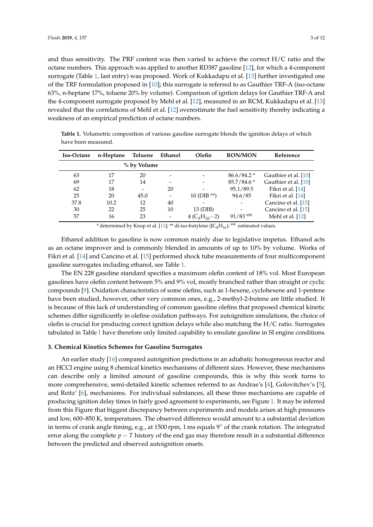and thus sensitivity. The PRF content was then varied to achieve the correct  $H/C$  ratio and the octane numbers. This approach was applied to another RD387 gasoline [\[12\]](#page-10-9), for which a 4-component surrogate (Table [1,](#page-2-0) last entry) was proposed. Work of Kukkadapu et al. [\[13\]](#page-10-10) further investigated one of the TRF formulation proposed in [\[10\]](#page-10-7); this surrogate is referred to as Gauthier TRF-A (iso-octane 63%, n-heptane 17%, toluene 20% by volume). Comparison of igntion delays for Gauthier TRF-A and the 4-component surrogate proposed by Mehl et al. [\[12\]](#page-10-9), measured in an RCM, Kukkadapu et al. [\[13\]](#page-10-10) revealed that the correlations of Mehl et al. [\[12\]](#page-10-9) overestimate the fuel sensitivity thereby indicating a weakness of an empirical prediction of octane numbers.

<span id="page-2-0"></span>**Table 1.** Volumetric composition of various gasoline surrogate blends the iginition delays of which have been measured.

| Iso-Octane | n-Heptane | Toluene                  | Ethanol                  | <b>Olefin</b>            | <b>RON/MON</b> | Reference            |
|------------|-----------|--------------------------|--------------------------|--------------------------|----------------|----------------------|
|            |           | % by Volume              |                          |                          |                |                      |
| 63         | 17        | 20                       |                          |                          | $86.6/84.2*$   | Gauthier et al. [10] |
| 69         | 17        | 14                       |                          |                          | 85.7/84.6 *    | Gauthier et al. [10] |
| 62         | 18        | $\overline{\phantom{a}}$ | 20                       |                          | 95.1/89.5      | Fikri et al. [14]    |
| 25         | 20        | 45.0                     | $\overline{\phantom{a}}$ | 10 (DIB $**$ )           | 94.6/85        | Fikri et al. [14]    |
| 37.8       | 10.2      | 12                       | 40                       | $\overline{\phantom{0}}$ |                | Cancino et al. [15]  |
| 30         | 22        | 25                       | 10                       | 13 (DIB)                 |                | Cancino et al. [15]  |
| 57         | 16        | 23                       | $\overline{\phantom{0}}$ | $4(C_5H_{10}-2)$         | $91/83$ est.   | Mehl et al. [12]     |

\* determined by Knop et al. [\[11\]](#page-10-8); \*\* di-iso-butylene  $(\text{IC}_8\text{H}_{16})$ ; <sup>est.</sup> estimated values.

Ethanol addition to gasoline is now common mainly due to legislative impetus. Ethanol acts as an octane improver and is commonly blended in amounts of up to 10% by volume. Works of Fikri et al. [\[14\]](#page-10-11) and Cancino et al. [\[15\]](#page-10-12) performed shock tube measurements of four multicomponent gasoline surrogates including ethanol, see Table [1.](#page-2-0)

The EN 228 gasoline standard specifies a maximum olefin content of 18% vol. Most European gasolines have olefin content between 5% and 9% vol, mostly branched rather than straight or cyclic compounds [\[9\]](#page-10-6). Oxidation characteristics of some olefins, such as 1-hexene, cyclohexene and 1-pentene have been studied, however, other very common ones, e.g., 2-methyl-2-butene are little studied. It is because of this lack of understanding of common gasoline olefins that proposed chemical kinetic schemes differ significantly in olefine oxidation pathways. For autoignition simulations, the choice of olefin is crucial for producing correct ignition delays while also matching the H/C ratio. Surrogates tabulated in Table [1](#page-2-0) have therefore only limited capability to emulate gasoline in SI engine conditions.

#### **3. Chemical Kinetics Schemes for Gasoline Surrogates**

An earlier study [\[16\]](#page-10-13) compared autoignition predictions in an adiabatic homogeneous reactor and an HCCI engine using 8 chemical kinetics mechanisms of different sizes. However, these mechanisms can describe only a limited amount of gasoline compounds, this is why this work turns to more comprehensive, semi-detailed kinetic schemes referred to as Andrae's [\[4\]](#page-10-2), Golovitchev's [\[5\]](#page-10-14), and Reitz' [\[6\]](#page-10-3), mechanisms. For individual substances, all these three mechanisms are capable of producing ignition delay times in fairly good agreement to experiments, see Figure [1.](#page-3-0) It may be inferred from this Figure that biggest discrepancy between experiments and models arises at high pressures and low, 600–850 K, temperatures. The observed difference would amount to a substantial deviation in terms of crank angle timing, e.g., at 1500 rpm, 1 ms equals 9◦ of the crank rotation. The integrated error along the complete *p* − *T* history of the end gas may therefore result in a substantial difference between the predicted and observed autoignition onsets.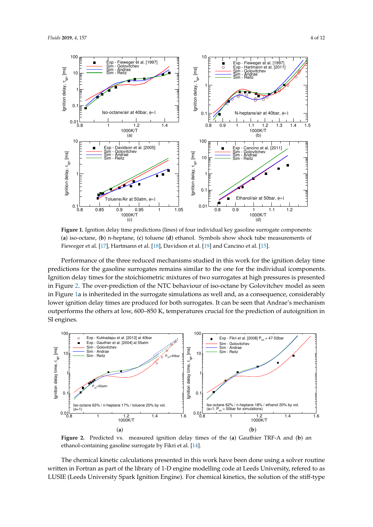<span id="page-3-0"></span>

**Figure 1.** Ignition delay time predictions (lines) of four individual key gasoline surrogate components: (**a**) iso-octane, (**b**) n-heptane, (**c**) toluene (**d**) ethanol. Symbols show shock tube measurements of Fieweger et al. [\[17\]](#page-10-15), Hartmann et al. [\[18\]](#page-10-16), Davidson et al. [\[19\]](#page-10-17) and Cancino et al. [\[15\]](#page-10-12).

Performance of the three reduced mechanisms studied in this work for the ignition delay time predictions for the gasoline surrogates remains similar to the one for the individual icomponents. Ignition delay times for the stoichiometric mixtures of two surrogates at high pressures is presented in Figure [2.](#page-3-1) The over-prediction of the NTC behaviour of iso-octane by Golovitchev model as seen in Figure [1a](#page-3-0) is inheriteded in the surrogate simulations as well and, as a consequence, considerably lower ignition delay times are produced for both surrogates. It can be seen that Andrae's mechanism outperforms the others at low, 600–850 K, temperatures crucial for the prediction of autoignition in SI engines.

<span id="page-3-1"></span>

**Figure 2.** Predicted vs. measured ignition delay times of the (**a**) Gauthier TRF-A and (**b**) an ethanol-containing gasoline surrogate by Fikri et al. [\[14\]](#page-10-11).

The chemical kinetic calculations presented in this work have been done using a solver routine written in Fortran as part of the library of 1-D engine modelling code at Leeds University, refered to as LUSIE (Leeds University Spark Ignition Engine). For chemical kinetics, the solution of the stiff-type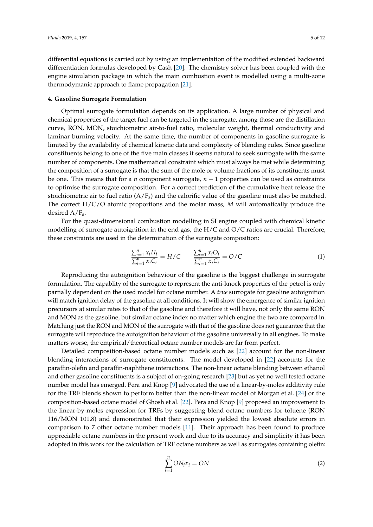differential equations is carried out by using an implementation of the modified extended backward differentiation formulas developed by Cash [\[20\]](#page-10-18). The chemistry solver has been coupled with the engine simulation package in which the main combustion event is modelled using a multi-zone thermodymanic approach to flame propagation [\[21\]](#page-10-19).

#### <span id="page-4-2"></span>**4. Gasoline Surrogate Formulation**

Optimal surrogate formulation depends on its application. A large number of physical and chemical properties of the target fuel can be targeted in the surrogate, among those are the distillation curve, RON, MON, stoichiometric air-to-fuel ratio, molecular weight, thermal conductivity and laminar burning velocity. At the same time, the number of components in gasoline surrogate is limited by the availability of chemical kinetic data and complexity of blending rules. Since gasoline constituents belong to one of the five main classes it seems natural to seek surrogate with the same number of components. One mathematical constraint which must always be met while determining the composition of a surrogate is that the sum of the mole or volume fractions of its constituents must be one. This means that for a *n* component surrogate, *n* − 1 properties can be used as constraints to optimise the surrogate composition. For a correct prediction of the cumulative heat release the stoichiometric air to fuel ratio  $(A/F_s)$  and the calorific value of the gasoline must also be matched. The correct H/C/O atomic proportions and the molar mass, *M* will automatically produce the desired  $A/F_s$ .

For the quasi-dimensional combustion modelling in SI engine coupled with chemical kinetic modelling of surrogate autoignition in the end gas, the H/C and O/C ratios are crucial. Therefore, these constraints are used in the determination of the surrogate composition:

<span id="page-4-0"></span>
$$
\frac{\sum_{i=1}^{n} x_i H_i}{\sum_{i=1}^{n} x_i C_i} = H/C \qquad \frac{\sum_{i=1}^{n} x_i O_i}{\sum_{i=1}^{n} x_i C_i} = O/C \tag{1}
$$

Reproducing the autoignition behaviour of the gasoline is the biggest challenge in surrogate formulation. The capablity of the surrogate to represent the anti-knock properties of the petrol is only partially dependent on the used model for octane number. A *true* surrogate for gasoline autoignition will match ignition delay of the gasoline at all conditions. It will show the emergence of similar ignition precursors at similar rates to that of the gasoline and therefore it will have, not only the same RON and MON as the gasoline, but similar octane index no matter which engine the two are compared in. Matching just the RON and MON of the surrogate with that of the gasoline does not guarantee that the surrogate will reproduce the autoignition behaviour of the gasoline universally in all engines. To make matters worse, the empirical/theoretical octane number models are far from perfect.

Detailed composition-based octane number models such as [\[22\]](#page-10-20) account for the non-linear blending interactions of surrogate constituents. The model developed in [\[22\]](#page-10-20) accounts for the paraffin-olefin and paraffin-naphthene interactions. The non-linear octane blending between ethanol and other gasoline constituents is a subject of on-going research [\[23\]](#page-11-0) but as yet no well tested octane number model has emerged. Pera and Knop [\[9\]](#page-10-6) advocated the use of a linear-by-moles additivity rule for the TRF blends shown to perform better than the non-linear model of Morgan et al. [\[24\]](#page-11-1) or the composition-based octane model of Ghosh et al. [\[22\]](#page-10-20). Pera and Knop [\[9\]](#page-10-6) proposed an improvement to the linear-by-moles expression for TRFs by suggesting blend octane numbers for toluene (RON 116/MON 101.8) and demonstrated that their expression yielded the lowest absolute errors in comparison to 7 other octane number models [\[11\]](#page-10-8). Their approach has been found to produce appreciable octane numbers in the present work and due to its accuracy and simplicity it has been adopted in this work for the calculation of TRF octane numbers as well as surrogates containing olefin:

<span id="page-4-1"></span>
$$
\sum_{i=1}^{n} ON_i x_i = ON \tag{2}
$$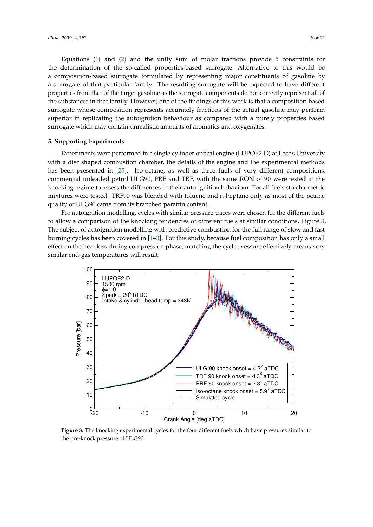Equations [\(1\)](#page-4-0) and [\(2\)](#page-4-1) and the unity sum of molar fractions provide 5 constraints for the determination of the so-called properties-based surrogate. Alternative to this would be a composition-based surrogate formulated by representing major constituents of gasoline by a surrogate of that particular family. The resulting surrogate will be expected to have different properties from that of the target gasoline as the surrogate components do not correctly represent all of the substances in that family. However, one of the findings of this work is that a composition-based surrogate whose composition represents accurately fractions of the actual gasoline may perform superior in replicating the autoignition behaviour as compared with a purely properties based surrogate which may contain unrealistic amounts of aromatics and oxygenates.

#### **5. Supporting Experiments**

Experiments were performed in a single cylinder optical engine (LUPOE2-D) at Leeds University with a disc shaped combustion chamber, the details of the engine and the experimental methods has been presented in [\[25\]](#page-11-2). Iso-octane, as well as three fuels of very different compositions, commercial unleaded petrol ULG90, PRF and TRF, with the same RON of 90 were tested in the knocking regime to assess the differences in their auto-ignition behaviour. For all fuels stoichiometric mixtures were tested. TRF90 was blended with toluene and n-heptane only as most of the octane quality of ULG90 came from its branched paraffin content.

For autoignition modelling, cycles with similar pressure traces were chosen for the different fuels to allow a comparison of the knocking tendencies of different fuels at similar conditions, Figure [3.](#page-5-0) The subject of autoignition modelling with predictive combustion for the full range of slow and fast burning cycles has been covered in  $[1-3]$  $[1-3]$ . For this study, because fuel composition has only a small effect on the heat loss during compression phase, matching the cycle pressure effectively means very similar end-gas temperatures will result.

<span id="page-5-0"></span>

**Figure 3.** The knocking experimental cycles for the four different fuels which have pressures similar to the pre-knock pressure of ULG90.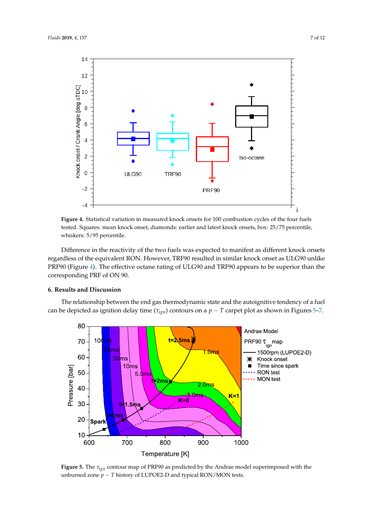<span id="page-6-0"></span>

**Figure 4.** Statistical variation in measured knock onsets for 100 combustion cycles of the four fuels tested. Squares: mean knock onset, diamonds: earlier and latest knock onsets, box: 25/75 percentile, whiskers: 5/95 percentile.

Difference in the reactivity of the two fuels was expected to manifest as different knock onsets regardless of the equivalent RON. However, TRF90 resulted in similar knock onset as ULG90 unlike PRF90 (Figure [4\)](#page-6-0). The effective octane rating of ULG90 and TRF90 appears to be superior than the corresponding PRF of ON 90.

#### **6. Results and Discussion**

The relationship between the end gas thermodynamic state and the autoignitive tendency of a fuel can be depicted as ignition delay time ( $\tau_{ign}$ ) contours on a  $p - T$  carpet plot as shown in Figures [5](#page-6-1)[–7.](#page-7-0)

<span id="page-6-1"></span>

**Figure 5.** The *τign* contour map of PRF90 as predicted by the Andrae model superimposed with the unburned zone  $p - T$  history of LUPOE2-D and typical RON/MON tests.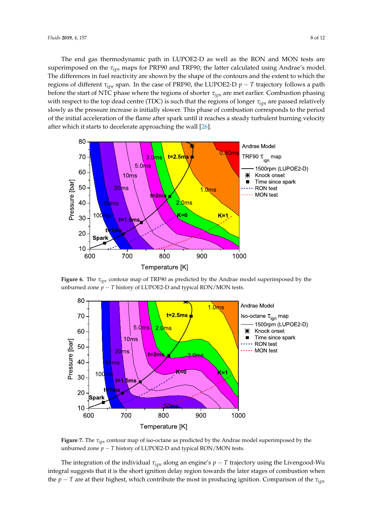The end gas thermodynamic path in LUPOE2-D as well as the RON and MON tests are superimposed on the *τign* maps for PRF90 and TRF90; the latter calculated using Andrae's model. The differences in fuel reactivity are shown by the shape of the contours and the extent to which the regions of different *τign* span. In the case of PRF90, the LUPOE2-D *p* − *T* trajectory follows a path before the start of NTC phase where the regions of shorter *τign* are met earlier. Combustion phasing with respect to the top dead centre (TDC) is such that the regions of longer *τign* are passed relatively slowly as the pressure increase is initially slower. This phase of combustion corresponds to the period of the initial acceleration of the flame after spark until it reaches a steady turbulent burning velocity after which it starts to decelerate approaching the wall [\[26\]](#page-11-3).



**Figure 6.** The *τign* contour map of TRF90 as predicted by the Andrae model superimposed by the unburned zone *p* − *T* history of LUPOE2-D and typical RON/MON tests.

<span id="page-7-0"></span>

**Figure 7.** The *τign* contour map of iso-octane as predicted by the Andrae model superimposed by the unburned zone *p* − *T* history of LUPOE2-D and typical RON/MON tests.

The integration of the individual  $\tau_{ion}$  along an engine's  $p - T$  trajectory using the Livengood-Wu integral suggests that it is the short ignition delay region towards the later stages of combustion when the *p* − *T* are at their highest, which contribute the most in producing ignition. Comparison of the *τign*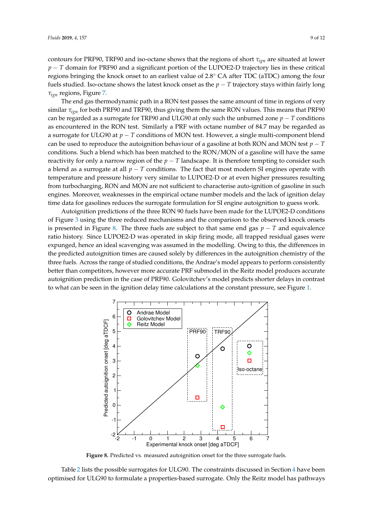contours for PRF90, TRF90 and iso-octane shows that the regions of short *τign* are situated at lower *p* − *T* domain for PRF90 and a significant portion of the LUPOE2-D trajectory lies in these critical regions bringing the knock onset to an earliest value of 2.8◦ CA after TDC (aTDC) among the four fuels studied. Iso-octane shows the latest knock onset as the  $p - T$  trajectory stays within fairly long *τign* regions, Figure [7.](#page-7-0)

The end gas thermodynamic path in a RON test passes the same amount of time in regions of very similar *τign* for both PRF90 and TRF90, thus giving them the same RON values. This means that PRF90 can be regarded as a surrogate for TRF90 and ULG90 at only such the unburned zone *p* − *T* conditions as encountered in the RON test. Similarly a PRF with octane number of 84.7 may be regarded as a surrogate for ULG90 at *p* − *T* conditions of MON test. However, a single multi-component blend can be used to reproduce the autoignition behaviour of a gasoline at both RON and MON test *p* − *T* conditions. Such a blend which has been matched to the RON/MON of a gasoline will have the same reactivity for only a narrow region of the  $p - T$  landscape. It is therefore tempting to consider such a blend as a surrogate at all *p* − *T* conditions. The fact that most modern SI engines operate with temperature and pressure history very similar to LUPOE2-D or at even higher pressures resulting from turbocharging, RON and MON are not sufficient to characterise auto-ignition of gasoline in such engines. Moreover, weaknesses in the empirical octane number models and the lack of ignition delay time data for gasolines reduces the surrogate formulation for SI engine autoignition to guess work.

Autoignition predictions of the three RON 90 fuels have been made for the LUPOE2-D conditions of Figure [3](#page-5-0) using the three reduced mechanisms and the comparison to the observed knock onsets is presented in Figure [8.](#page-8-0) The three fuels are subject to that same end gas  $p - T$  and equivalence ratio history. Since LUPOE2-D was operated in skip firing mode, all trapped residual gases were expunged, hence an ideal scavenging was assumed in the modelling. Owing to this, the differences in the predicted autoignition times are caused solely by differences in the autoignition chemistry of the three fuels. Across the range of studied conditions, the Andrae's model appears to perform consistently better than competitors, however more accurate PRF submodel in the Reitz model produces accurate autoignition prediction in the case of PRF90. Golovitchev's model predicts shorter delays in contrast to what can be seen in the ignition delay time calculations at the constant pressure, see Figure [1.](#page-3-0)

<span id="page-8-0"></span>

**Figure 8.** Predicted vs. measured autoignition onset for the three surrogate fuels.

Table [2](#page-9-0) lists the possible surrogates for ULG90. The constraints discussed in Section [4](#page-4-2) have been optimised for ULG90 to formulate a properties-based surrogate. Only the Reitz model has pathways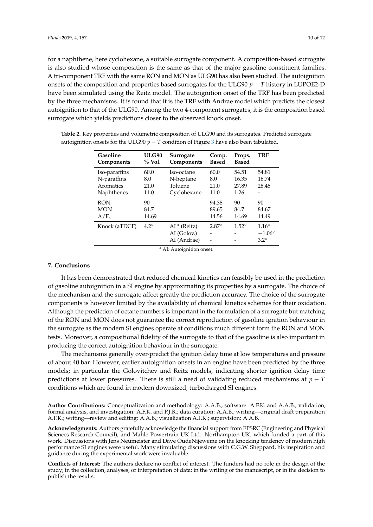for a naphthene, here cyclohexane, a suitable surrogate component. A composition-based surrogate is also studied whose composition is the same as that of the major gasoline constituent families. A tri-component TRF with the same RON and MON as ULG90 has also been studied. The autoignition onsets of the composition and properties based surrogates for the ULG90 *p* − *T* history in LUPOE2-D have been simulated using the Reitz model. The autoignition onset of the TRF has been predicted by the three mechanisms. It is found that it is the TRF with Andrae model which predicts the closest autoignition to that of the ULG90. Among the two 4-component surrogates, it is the composition based surrogate which yields predictions closer to the observed knock onset.

| Gasoline                                                | <b>ULG90</b>                | Surrogate                                         | Comp.                       | Props.                                       | <b>TRF</b>                                     |
|---------------------------------------------------------|-----------------------------|---------------------------------------------------|-----------------------------|----------------------------------------------|------------------------------------------------|
| Components                                              | $%$ Vol.                    | Components                                        | <b>Based</b>                | <b>Based</b>                                 |                                                |
| Iso-paraffins<br>N-paraffins<br>Aromatics<br>Naphthenes | 60.0<br>8.0<br>21.0<br>11.0 | Iso-octane<br>N-heptane<br>Toluene<br>Cyclohexane | 60.0<br>8.0<br>21.0<br>11.0 | 54.51<br>16.35<br>27.89<br>1.26              | 54.81<br>16.74<br>28.45                        |
| <b>RON</b>                                              | 90                          |                                                   | 94.38                       | 90                                           | 90                                             |
| <b>MON</b>                                              | 84.7                        |                                                   | 89.65                       | 84.7                                         | 84.67                                          |
| $A/F_s$                                                 | 14.69                       |                                                   | 14.56                       | 14.69                                        | 14.49                                          |
| Knock (aTDCF)                                           | $4.2^\circ$                 | $AI * (Reitz)$<br>AI (Golov.)<br>AI (Andrae)      | $2.87^\circ$<br>۰           | $1.52^\circ$<br>$\qquad \qquad \blacksquare$ | $1.16^\circ$<br>$-1.06^{\circ}$<br>$3.2^\circ$ |

<span id="page-9-0"></span>**Table 2.** Key properties and volumetric composition of ULG90 and its surrogates. Predicted surrogate autoignition onsets for the ULG90  $p - T$  condition of Figure [3](#page-5-0) have also been tabulated.

\* AI: Autoignition onset.

## **7. Conclusions**

It has been demonstrated that reduced chemical kinetics can feasibly be used in the prediction of gasoline autoignition in a SI engine by approximating its properties by a surrogate. The choice of the mechanism and the surrogate affect greatly the prediction accuracy. The choice of the surrogate components is however limited by the availability of chemical kinetics schemes for their oxidation. Although the prediction of octane numbers is important in the formulation of a surrogate but matching of the RON and MON does not guarantee the correct reproduction of gasoline ignition behaviour in the surrogate as the modern SI engines operate at conditions much different form the RON and MON tests. Moreover, a compositional fidelity of the surrogate to that of the gasoline is also important in producing the correct autoignition behaviour in the surrogate.

The mechanisms generally over-predict the ignition delay time at low temperatures and pressure of about 40 bar. However, earlier autoignition onsets in an engine have been predicted by the three models; in particular the Golovitchev and Reitz models, indicating shorter ignition delay time predictions at lower pressures. There is still a need of validating reduced mechanisms at *p* − *T* conditions which are found in modern downsized, turbocharged SI engines.

**Author Contributions:** Conceptualization and methodology: A.A.B.; software: A.F.K. and A.A.B.; validation, formal analysis, and investigation: A.F.K. and P.J.R.; data curation: A.A.B.; writing—original draft preparation A.F.K.; writing—review and editing: A.A.B.; visualization A.F.K.; supervision: A.A.B.

**Acknowledgments:** Authors gratefully acknowledge the financial support from EPSRC (Engineering and Physical Sciences Research Council), and Mahle Powertrain UK Ltd. Northampton UK, which funded a part of this work. Discussions with Jens Neumeister and Dave OudeNijeweme on the knocking tendency of modern high performance SI engines were useful. Many stimulating discussions with C.G.W. Sheppard, his inspiration and guidance during the experimental work were invaluable.

**Conflicts of Interest:** The authors declare no conflict of interest. The funders had no role in the design of the study; in the collection, analyses, or interpretation of data; in the writing of the manuscript, or in the decision to publish the results.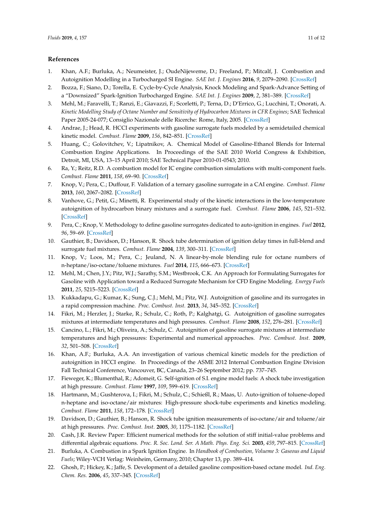### **References**

- <span id="page-10-0"></span>1. Khan, A.F.; Burluka, A.; Neumeister, J.; OudeNijeweme, D.; Freeland, P.; Mitcalf, J. Combustion and Autoignition Modelling in a Turbocharged SI Engine. *SAE Int. J. Engines* **2016**, *9*, 2079–2090. [\[CrossRef\]](http://dx.doi.org/10.4271/2016-01-2234)
- 2. Bozza, F.; Siano, D.; Torella, E. Cycle-by-Cycle Analysis, Knock Modeling and Spark-Advance Setting of a "Downsized" Spark-Ignition Turbocharged Engine. *SAE Int. J. Engines* **2009**, *2*, 381–389. [\[CrossRef\]](http://dx.doi.org/10.4271/2009-24-0020)
- <span id="page-10-1"></span>3. Mehl, M.; Faravelli, T.; Ranzi, E.; Giavazzi, F.; Scorletti, P.; Terna, D.; D'Errico, G.; Lucchini, T.; Onorati, A. *Kinetic Modelling Study of Octane Number and Sensitivity of Hydrocarbon Mixtures in CFR Engines*; SAE Technical Paper 2005-24-077; Consiglio Nazionale delle Ricerche: Rome, Italy, 2005. [\[CrossRef\]](http://dx.doi.org/10.4271/2005-24-077)
- <span id="page-10-2"></span>4. Andrae, J.; Head, R. HCCI experiments with gasoline surrogate fuels modeled by a semidetailed chemical kinetic model. *Combust. Flame* **2009**, *156*, 842–851. [\[CrossRef\]](http://dx.doi.org/10.1016/j.combustflame.2008.10.002)
- <span id="page-10-14"></span>5. Huang, C.; Golovitchev, V.; Lipatnikov, A. Chemical Model of Gasoline-Ethanol Blends for Internal Combustion Engine Applications. In Proceedings of the SAE 2010 World Congress & Exhibition, Detroit, MI, USA, 13–15 April 2010; SAE Technical Paper 2010-01-0543; 2010.
- <span id="page-10-3"></span>6. Ra, Y.; Reitz, R.D. A combustion model for IC engine combustion simulations with multi-component fuels. *Combust. Flame* **2011**, *158*, 69–90. [\[CrossRef\]](http://dx.doi.org/10.1016/j.combustflame.2010.07.019)
- <span id="page-10-4"></span>7. Knop, V.; Pera, C.; Duffour, F. Validation of a ternary gasoline surrogate in a CAI engine. *Combust. Flame* **2013**, *160*, 2067–2082. [\[CrossRef\]](http://dx.doi.org/10.1016/j.combustflame.2013.04.029)
- <span id="page-10-5"></span>8. Vanhove, G.; Petit, G.; Minetti, R. Experimental study of the kinetic interactions in the low-temperature autoignition of hydrocarbon binary mixtures and a surrogate fuel. *Combust. Flame* **2006**, *145*, 521–532. [\[CrossRef\]](http://dx.doi.org/10.1016/j.combustflame.2006.01.001)
- <span id="page-10-6"></span>9. Pera, C.; Knop, V. Methodology to define gasoline surrogates dedicated to auto-ignition in engines. *Fuel* **2012**, *96*, 59–69. [\[CrossRef\]](http://dx.doi.org/10.1016/j.fuel.2012.01.008)
- <span id="page-10-7"></span>10. Gauthier, B.; Davidson, D.; Hanson, R. Shock tube determination of ignition delay times in full-blend and surrogate fuel mixtures. *Combust. Flame* **2004**, *139*, 300–311. [\[CrossRef\]](http://dx.doi.org/10.1016/j.combustflame.2004.08.015)
- <span id="page-10-8"></span>11. Knop, V.; Loos, M.; Pera, C.; Jeuland, N. A linear-by-mole blending rule for octane numbers of n-heptane/iso-octane/toluene mixtures. *Fuel* **2014**, *115*, 666–673. [\[CrossRef\]](http://dx.doi.org/10.1016/j.fuel.2013.07.093)
- <span id="page-10-9"></span>12. Mehl, M.; Chen, J.Y.; Pitz, W.J.; Sarathy, S.M.; Westbrook, C.K. An Approach for Formulating Surrogates for Gasoline with Application toward a Reduced Surrogate Mechanism for CFD Engine Modeling. *Energy Fuels* **2011**, *25*, 5215–5223. [\[CrossRef\]](http://dx.doi.org/10.1021/ef201099y)
- <span id="page-10-10"></span>13. Kukkadapu, G.; Kumar, K.; Sung, C.J.; Mehl, M.; Pitz, W.J. Autoignition of gasoline and its surrogates in a rapid compression machine. *Proc. Combust. Inst.* **2013**, *34*, 345–352. [\[CrossRef\]](http://dx.doi.org/10.1016/j.proci.2012.06.135)
- <span id="page-10-11"></span>14. Fikri, M.; Herzler, J.; Starke, R.; Schulz, C.; Roth, P.; Kalghatgi, G. Autoignition of gasoline surrogates mixtures at intermediate temperatures and high pressures. *Combust. Flame* **2008**, *152*, 276–281. [\[CrossRef\]](http://dx.doi.org/10.1016/j.combustflame.2007.07.010)
- <span id="page-10-12"></span>15. Cancino, L.; Fikri, M.; Oliveira, A.; Schulz, C. Autoignition of gasoline surrogate mixtures at intermediate temperatures and high pressures: Experimental and numerical approaches. *Proc. Combust. Inst.* **2009**, *32*, 501–508. [\[CrossRef\]](http://dx.doi.org/10.1016/j.proci.2008.06.180)
- <span id="page-10-13"></span>16. Khan, A.F.; Burluka, A.A. An investigation of various chemical kinetic models for the prediction of autoignition in HCCI engine. In Proceedings of the ASME 2012 Internal Combustion Engine Division Fall Technical Conference, Vancouver, BC, Canada, 23–26 September 2012; pp. 737–745.
- <span id="page-10-15"></span>17. Fieweger, K.; Blumenthal, R.; Adomeit, G. Self-ignition of S.I. engine model fuels: A shock tube investigation at high pressure. *Combust. Flame* **1997**, *109*, 599–619. [\[CrossRef\]](http://dx.doi.org/10.1016/S0010-2180(97)00049-7)
- <span id="page-10-16"></span>18. Hartmann, M.; Gushterova, I.; Fikri, M.; Schulz, C.; Schießl, R.; Maas, U. Auto-ignition of toluene-doped n-heptane and iso-octane/air mixtures: High-pressure shock-tube experiments and kinetics modeling. *Combust. Flame* **2011**, *158*, 172–178. [\[CrossRef\]](http://dx.doi.org/10.1016/j.combustflame.2010.08.005)
- <span id="page-10-17"></span>19. Davidson, D.; Gauthier, B.; Hanson, R. Shock tube ignition measurements of iso-octane/air and toluene/air at high pressures. *Proc. Combust. Inst.* **2005**, *30*, 1175–1182. [\[CrossRef\]](http://dx.doi.org/10.1016/j.proci.2004.08.004)
- <span id="page-10-18"></span>20. Cash, J.R. Review Paper: Efficient numerical methods for the solution of stiff initial-value problems and differential algebraic equations. *Proc. R. Soc. Lond. Ser. A Math. Phys. Eng. Sci.* **2003**, *459*, 797–815. [\[CrossRef\]](http://dx.doi.org/10.1098/rspa.2003.1130)
- <span id="page-10-19"></span>21. Burluka, A. Combustion in a Spark Ignition Engine. In *Handbook of Combustion, Volueme 3: Gaseous and Liquid Fuels*; Wiley-VCH Verlag: Weinheim, Germany, 2010; Chapter 13, pp. 389–414.
- <span id="page-10-20"></span>22. Ghosh, P.; Hickey, K.; Jaffe, S. Development of a detailed gasoline composition-based octane model. *Ind. Eng. Chem. Res.* **2006**, *45*, 337–345. [\[CrossRef\]](http://dx.doi.org/10.1021/ie050811h)